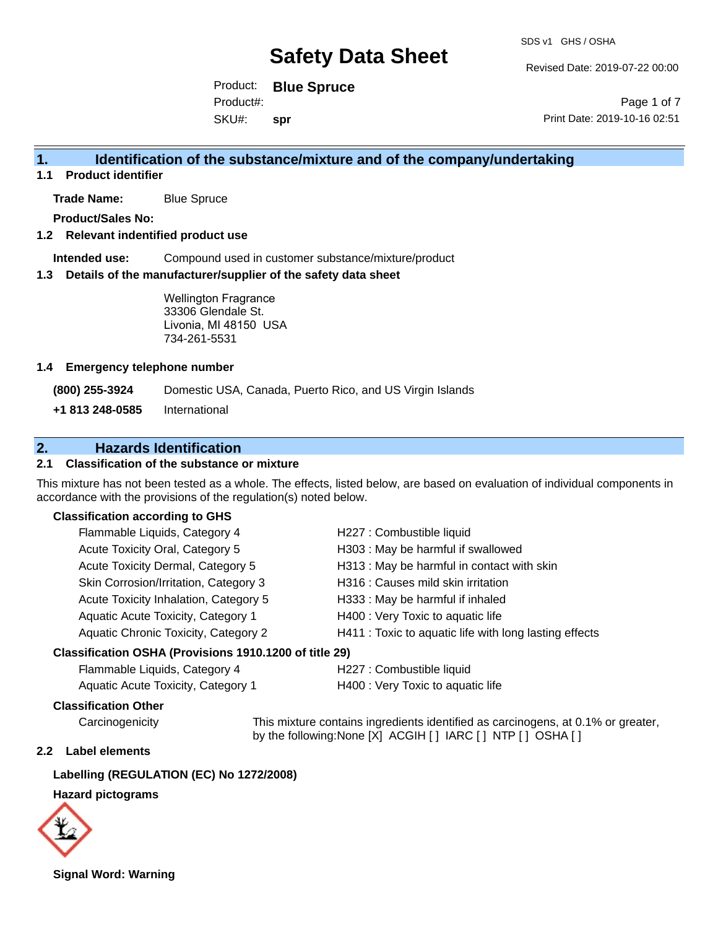Revised Date: 2019-07-22 00:00

Product: **Blue Spruce** SKU#: Product#: **spr**

Page 1 of 7 Print Date: 2019-10-16 02:51

# **1. Identification of the substance/mixture and of the company/undertaking**

**1.1 Product identifier**

**Trade Name:** Blue Spruce

**Product/Sales No:**

### **1.2 Relevant indentified product use**

**Intended use:** Compound used in customer substance/mixture/product

### **1.3 Details of the manufacturer/supplier of the safety data sheet**

Wellington Fragrance 33306 Glendale St. Livonia, MI 48150 USA 734-261-5531

### **1.4 Emergency telephone number**

**(800) 255-3924** Domestic USA, Canada, Puerto Rico, and US Virgin Islands

**+1 813 248-0585** International

# **2. Hazards Identification**

# **2.1 Classification of the substance or mixture**

This mixture has not been tested as a whole. The effects, listed below, are based on evaluation of individual components in accordance with the provisions of the regulation(s) noted below.

## **Classification according to GHS**

| Flammable Liquids, Category 4         | H227 : Combustible liquid                              |
|---------------------------------------|--------------------------------------------------------|
| Acute Toxicity Oral, Category 5       | H303 : May be harmful if swallowed                     |
| Acute Toxicity Dermal, Category 5     | H313 : May be harmful in contact with skin             |
| Skin Corrosion/Irritation, Category 3 | H316 : Causes mild skin irritation                     |
| Acute Toxicity Inhalation, Category 5 | H333: May be harmful if inhaled                        |
| Aquatic Acute Toxicity, Category 1    | H400 : Very Toxic to aquatic life                      |
| Aquatic Chronic Toxicity, Category 2  | H411 : Toxic to aquatic life with long lasting effects |
|                                       |                                                        |

### **Classification OSHA (Provisions 1910.1200 of title 29)**

| Flammable Liquids, Category 4      | H227 : Combustible liquid         |
|------------------------------------|-----------------------------------|
| Aquatic Acute Toxicity, Category 1 | H400 : Very Toxic to aquatic life |

### **Classification Other**

Carcinogenicity This mixture contains ingredients identified as carcinogens, at 0.1% or greater, by the following:None [X] ACGIH [ ] IARC [ ] NTP [ ] OSHA [ ]

# **2.2 Label elements**

### **Labelling (REGULATION (EC) No 1272/2008)**

### **Hazard pictograms**



**Signal Word: Warning**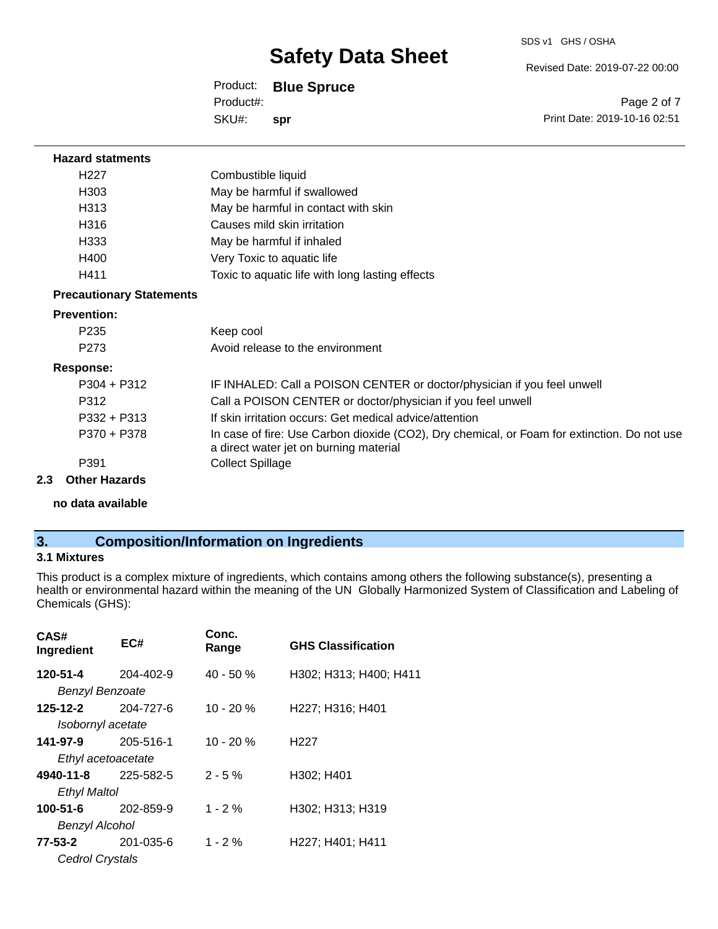Revised Date: 2019-07-22 00:00

Product: **Blue Spruce** SKU#: Product#: **spr**

Page 2 of 7 Print Date: 2019-10-16 02:51

### **Hazard statments**

| H <sub>22</sub> 7 | Combustible liquid                              |
|-------------------|-------------------------------------------------|
| H <sub>303</sub>  | May be harmful if swallowed                     |
| H313              | May be harmful in contact with skin             |
| H316              | Causes mild skin irritation                     |
| H333              | May be harmful if inhaled                       |
| H400              | Very Toxic to aquatic life                      |
| H411              | Toxic to aquatic life with long lasting effects |

### **Precautionary Statements**

### **Prevention:**

| P <sub>235</sub>     | Keep cool                                                                                                                             |
|----------------------|---------------------------------------------------------------------------------------------------------------------------------------|
| P <sub>273</sub>     | Avoid release to the environment                                                                                                      |
| <b>Response:</b>     |                                                                                                                                       |
| $P304 + P312$        | IF INHALED: Call a POISON CENTER or doctor/physician if you feel unwell                                                               |
| P312                 | Call a POISON CENTER or doctor/physician if you feel unwell                                                                           |
| $P332 + P313$        | If skin irritation occurs: Get medical advice/attention                                                                               |
| P370 + P378          | In case of fire: Use Carbon dioxide (CO2), Dry chemical, or Foam for extinction. Do not use<br>a direct water jet on burning material |
| P391                 | <b>Collect Spillage</b>                                                                                                               |
| <b>Other Hazards</b> |                                                                                                                                       |

# **no data available**

# **3. Composition/Information on Ingredients**

# **3.1 Mixtures**

**2.3** 

This product is a complex mixture of ingredients, which contains among others the following substance(s), presenting a health or environmental hazard within the meaning of the UN Globally Harmonized System of Classification and Labeling of Chemicals (GHS):

| CAS#<br>Ingredient     | EC#       | Conc.<br>Range | <b>GHS Classification</b> |
|------------------------|-----------|----------------|---------------------------|
| 120-51-4               | 204-402-9 | $40 - 50%$     | H302; H313; H400; H411    |
| <b>Benzyl Benzoate</b> |           |                |                           |
| 125-12-2               | 204-727-6 | $10 - 20%$     | H227; H316; H401          |
| Isobornyl acetate      |           |                |                           |
| 141-97-9               | 205-516-1 | $10 - 20 %$    | H <sub>22</sub> 7         |
| Ethyl acetoacetate     |           |                |                           |
| 4940-11-8              | 225-582-5 | $2 - 5%$       | H302; H401                |
| Ethyl Maltol           |           |                |                           |
| 100-51-6               | 202-859-9 | $1 - 2%$       | H302; H313; H319          |
| Benzyl Alcohol         |           |                |                           |
| 77-53-2                | 201-035-6 | $1 - 2%$       | H227; H401; H411          |
| Cedrol Crystals        |           |                |                           |
|                        |           |                |                           |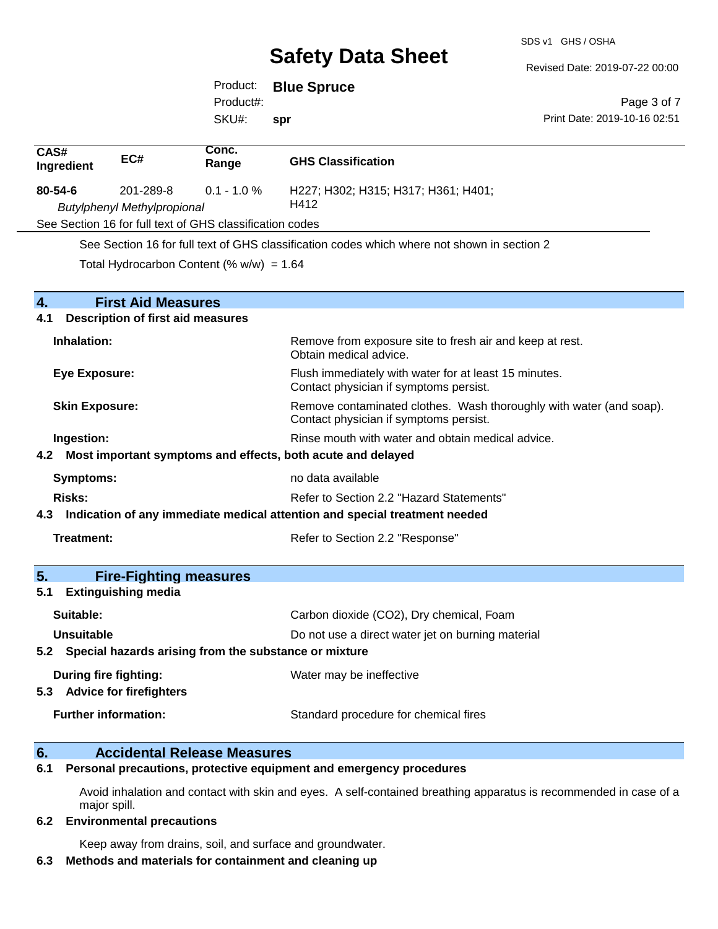SDS v1 GHS / OSHA

Revised Date: 2019-07-22 00:00

|                                                                                   | Product:          | <b>Blue Spruce</b>                                                                              |                                                                     |
|-----------------------------------------------------------------------------------|-------------------|-------------------------------------------------------------------------------------------------|---------------------------------------------------------------------|
|                                                                                   | Product#:         |                                                                                                 | Page 3 of 7                                                         |
|                                                                                   | SKU#:             | spr                                                                                             | Print Date: 2019-10-16 02:51                                        |
| $\overline{CAS#}$<br>EC#<br>Ingredient                                            | Conc.<br>Range    | <b>GHS Classification</b>                                                                       |                                                                     |
| 80-54-6<br>201-289-8<br><b>Butylphenyl Methylpropional</b>                        | $0.1 - 1.0 %$     | H227; H302; H315; H317; H361; H401;<br>H412                                                     |                                                                     |
| See Section 16 for full text of GHS classification codes                          |                   |                                                                                                 |                                                                     |
|                                                                                   |                   | See Section 16 for full text of GHS classification codes which where not shown in section 2     |                                                                     |
| Total Hydrocarbon Content (% $w/w$ ) = 1.64                                       |                   |                                                                                                 |                                                                     |
| $\overline{4}$ .<br><b>First Aid Measures</b>                                     |                   |                                                                                                 |                                                                     |
| <b>Description of first aid measures</b><br>4.1                                   |                   |                                                                                                 |                                                                     |
| Inhalation:                                                                       |                   | Obtain medical advice.                                                                          | Remove from exposure site to fresh air and keep at rest.            |
| <b>Eye Exposure:</b>                                                              |                   | Flush immediately with water for at least 15 minutes.<br>Contact physician if symptoms persist. |                                                                     |
| <b>Skin Exposure:</b>                                                             |                   | Contact physician if symptoms persist.                                                          | Remove contaminated clothes. Wash thoroughly with water (and soap). |
| Ingestion:                                                                        |                   | Rinse mouth with water and obtain medical advice.                                               |                                                                     |
| Most important symptoms and effects, both acute and delayed<br>4.2                |                   |                                                                                                 |                                                                     |
| Symptoms:                                                                         | no data available |                                                                                                 |                                                                     |
| Refer to Section 2.2 "Hazard Statements"<br><b>Risks:</b>                         |                   |                                                                                                 |                                                                     |
| Indication of any immediate medical attention and special treatment needed<br>4.3 |                   |                                                                                                 |                                                                     |
| <b>Treatment:</b>                                                                 |                   | Refer to Section 2.2 "Response"                                                                 |                                                                     |
| 5.<br><b>Fire-Fighting measures</b><br><b>Extinguishing media</b><br>5.1          |                   |                                                                                                 |                                                                     |
| Suitable:                                                                         |                   | Carbon dioxide (CO2), Dry chemical, Foam                                                        |                                                                     |
| <b>Unsuitable</b>                                                                 |                   | Do not use a direct water jet on burning material                                               |                                                                     |
| Special hazards arising from the substance or mixture<br>5.2                      |                   |                                                                                                 |                                                                     |
| During fire fighting:<br>5.3 Advice for firefighters                              |                   | Water may be ineffective                                                                        |                                                                     |
| <b>Further information:</b>                                                       |                   | Standard procedure for chemical fires                                                           |                                                                     |

# **6. Accidental Release Measures**

**6.1 Personal precautions, protective equipment and emergency procedures**

Avoid inhalation and contact with skin and eyes. A self-contained breathing apparatus is recommended in case of a major spill.

### **6.2 Environmental precautions**

Keep away from drains, soil, and surface and groundwater.

## **6.3 Methods and materials for containment and cleaning up**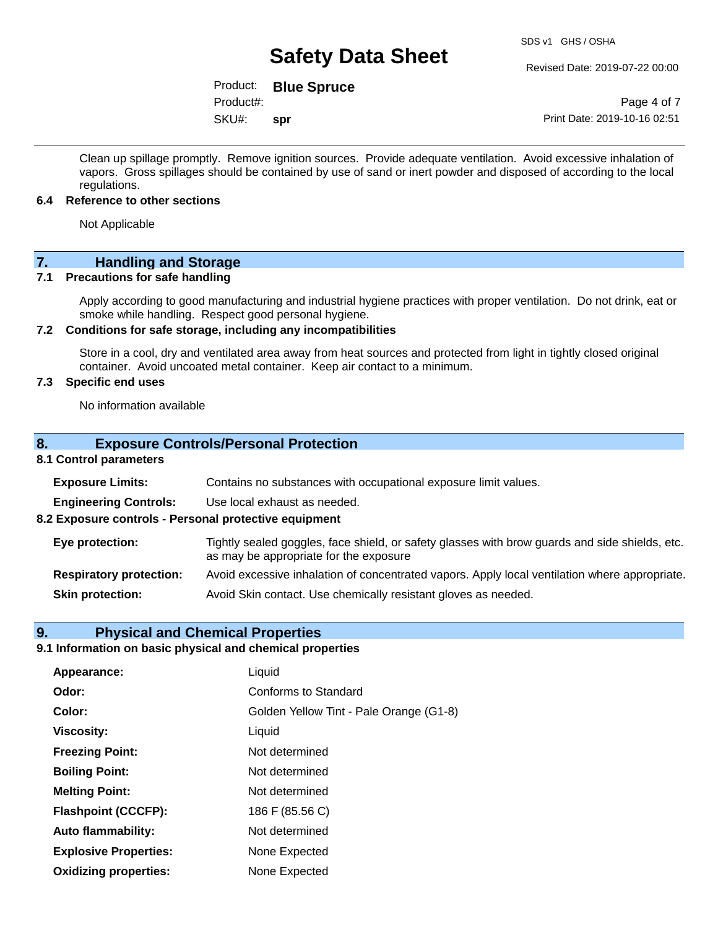Revised Date: 2019-07-22 00:00

Product: **Blue Spruce** Product#:

SKU#: **spr**

Page 4 of 7 Print Date: 2019-10-16 02:51

Clean up spillage promptly. Remove ignition sources. Provide adequate ventilation. Avoid excessive inhalation of vapors. Gross spillages should be contained by use of sand or inert powder and disposed of according to the local regulations.

## **6.4 Reference to other sections**

Not Applicable

# **7.** Handling and Storage<br> **7.1** Precautions for safe handling

## **Precautions for safe handling**

Apply according to good manufacturing and industrial hygiene practices with proper ventilation. Do not drink, eat or smoke while handling. Respect good personal hygiene.

## **7.2 Conditions for safe storage, including any incompatibilities**

Store in a cool, dry and ventilated area away from heat sources and protected from light in tightly closed original container. Avoid uncoated metal container. Keep air contact to a minimum.

# **7.3 Specific end uses**

No information available

## **8. Exposure Controls/Personal Protection**

# **8.1 Control parameters**

| <b>Exposure Limits:</b>                               | Contains no substances with occupational exposure limit values.                                                                          |  |  |
|-------------------------------------------------------|------------------------------------------------------------------------------------------------------------------------------------------|--|--|
| <b>Engineering Controls:</b>                          | Use local exhaust as needed.                                                                                                             |  |  |
| 8.2 Exposure controls - Personal protective equipment |                                                                                                                                          |  |  |
| Eye protection:                                       | Tightly sealed goggles, face shield, or safety glasses with brow guards and side shields, etc.<br>as may be appropriate for the exposure |  |  |
| <b>Respiratory protection:</b>                        | Avoid excessive inhalation of concentrated vapors. Apply local ventilation where appropriate.                                            |  |  |
| <b>Skin protection:</b>                               | Avoid Skin contact. Use chemically resistant gloves as needed.                                                                           |  |  |

# **9. Physical and Chemical Properties**

# **9.1 Information on basic physical and chemical properties**

| Appearance:                  | Liquid                                  |
|------------------------------|-----------------------------------------|
| Odor:                        | Conforms to Standard                    |
| Color:                       | Golden Yellow Tint - Pale Orange (G1-8) |
| <b>Viscosity:</b>            | Liquid                                  |
| <b>Freezing Point:</b>       | Not determined                          |
| <b>Boiling Point:</b>        | Not determined                          |
| <b>Melting Point:</b>        | Not determined                          |
| <b>Flashpoint (CCCFP):</b>   | 186 F (85.56 C)                         |
| <b>Auto flammability:</b>    | Not determined                          |
| <b>Explosive Properties:</b> | None Expected                           |
| <b>Oxidizing properties:</b> | None Expected                           |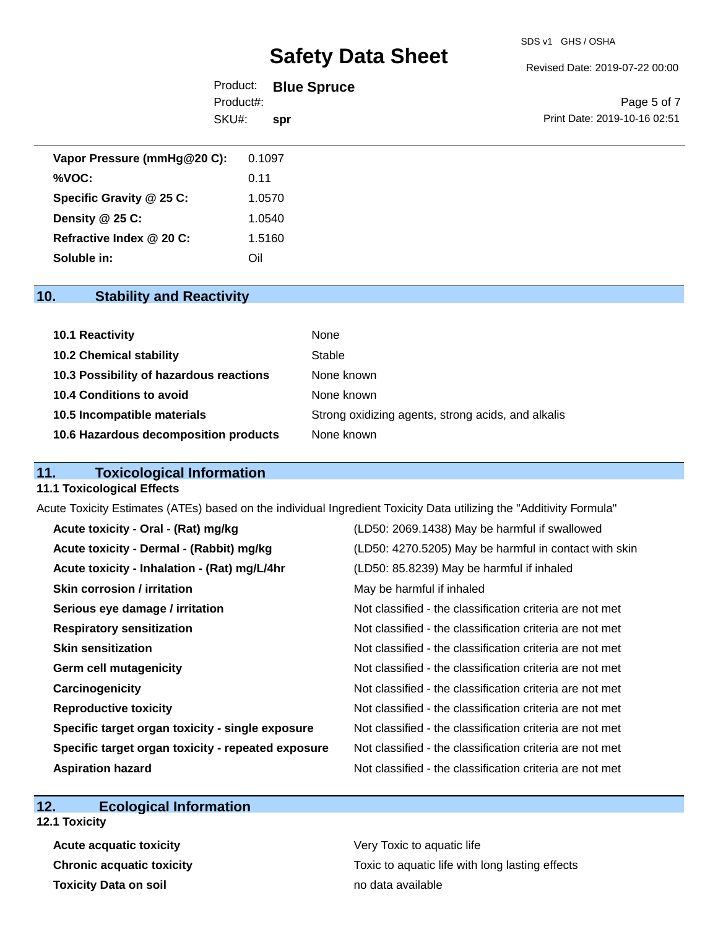Revised Date: 2019-07-22 00:00

|           | Product: <b>Blue Spruce</b> |                              |
|-----------|-----------------------------|------------------------------|
| Product#: |                             | Page 5 of 7                  |
| SKU#:     | spr                         | Print Date: 2019-10-16 02:51 |
|           |                             |                              |

| Vapor Pressure (mmHg@20 C): | 0.1097 |
|-----------------------------|--------|
| %VOC:                       | 0.11   |
| Specific Gravity @ 25 C:    | 1.0570 |
| Density @ 25 C:             | 1.0540 |
| Refractive Index @ 20 C:    | 1.5160 |
| Soluble in:                 | ี ∋il  |

# **10. Stability and Reactivity**

| 10.1 Reactivity                         | None                                               |
|-----------------------------------------|----------------------------------------------------|
| <b>10.2 Chemical stability</b>          | Stable                                             |
| 10.3 Possibility of hazardous reactions | None known                                         |
| 10.4 Conditions to avoid                | None known                                         |
| 10.5 Incompatible materials             | Strong oxidizing agents, strong acids, and alkalis |
| 10.6 Hazardous decomposition products   | None known                                         |

# **11. Toxicological Information**

## **11.1 Toxicological Effects**

Acute Toxicity Estimates (ATEs) based on the individual Ingredient Toxicity Data utilizing the "Additivity Formula"

| Acute toxicity - Oral - (Rat) mg/kg                | (LD50: 2069.1438) May be harmful if swallowed            |
|----------------------------------------------------|----------------------------------------------------------|
| Acute toxicity - Dermal - (Rabbit) mg/kg           | (LD50: 4270.5205) May be harmful in contact with skin    |
| Acute toxicity - Inhalation - (Rat) mg/L/4hr       | (LD50: 85.8239) May be harmful if inhaled                |
| <b>Skin corrosion / irritation</b>                 | May be harmful if inhaled                                |
| Serious eye damage / irritation                    | Not classified - the classification criteria are not met |
| <b>Respiratory sensitization</b>                   | Not classified - the classification criteria are not met |
| <b>Skin sensitization</b>                          | Not classified - the classification criteria are not met |
| <b>Germ cell mutagenicity</b>                      | Not classified - the classification criteria are not met |
| Carcinogenicity                                    | Not classified - the classification criteria are not met |
| <b>Reproductive toxicity</b>                       | Not classified - the classification criteria are not met |
| Specific target organ toxicity - single exposure   | Not classified - the classification criteria are not met |
| Specific target organ toxicity - repeated exposure | Not classified - the classification criteria are not met |
| <b>Aspiration hazard</b>                           | Not classified - the classification criteria are not met |

# **12. Ecological Information**

**12.1 Toxicity**

**Acute acquatic toxicity Very Toxic to aquatic life Toxicity Data on soil no data available no data available** 

**Chronic acquatic toxicity Toxic to aquatic life with long lasting effects**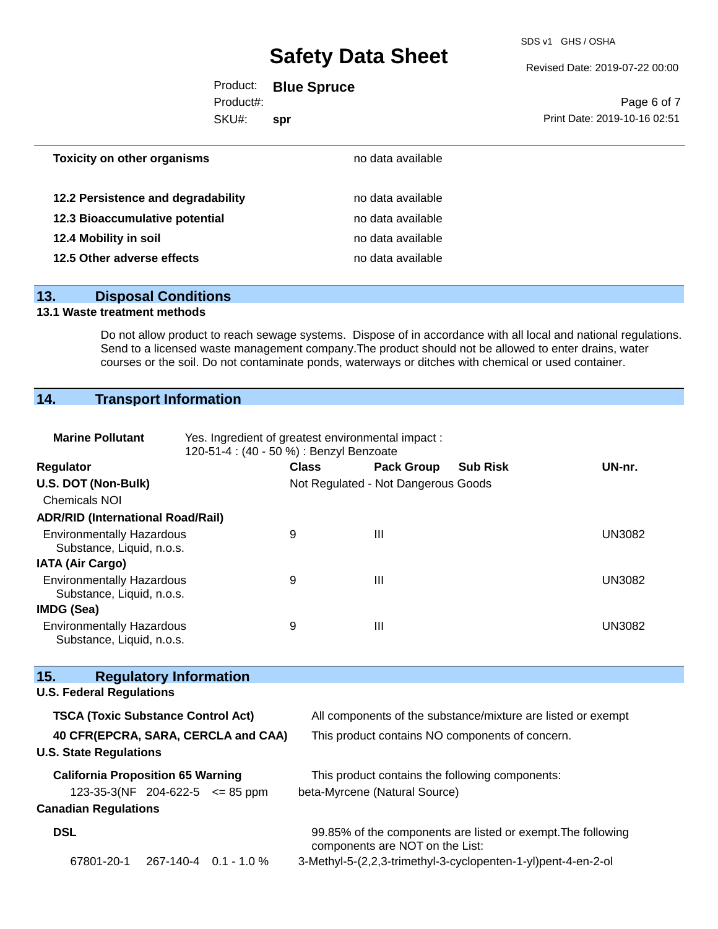SDS v1 GHS / OSHA

Revised Date: 2019-07-22 00:00

|                                    | Product: Blue Spruce |                              |
|------------------------------------|----------------------|------------------------------|
| Product#:                          |                      | Page 6 of 7                  |
| SKU#:                              | spr                  | Print Date: 2019-10-16 02:51 |
| <b>Toxicity on other organisms</b> | no data available    |                              |

| 12.2 Persistence and degradability | no data available |
|------------------------------------|-------------------|
| 12.3 Bioaccumulative potential     | no data available |
| 12.4 Mobility in soil              | no data available |
| 12.5 Other adverse effects         | no data available |

# **13. Disposal Conditions**

# **13.1 Waste treatment methods**

Do not allow product to reach sewage systems. Dispose of in accordance with all local and national regulations. Send to a licensed waste management company.The product should not be allowed to enter drains, water courses or the soil. Do not contaminate ponds, waterways or ditches with chemical or used container.

# **14. Transport Information**

| <b>Marine Pollutant</b>                                              | Yes. Ingredient of greatest environmental impact:<br>120-51-4 : (40 - 50 %) : Benzyl Benzoate |                                     |                                 |                                                              |               |
|----------------------------------------------------------------------|-----------------------------------------------------------------------------------------------|-------------------------------------|---------------------------------|--------------------------------------------------------------|---------------|
| <b>Regulator</b>                                                     |                                                                                               | <b>Class</b>                        | <b>Pack Group</b>               | <b>Sub Risk</b>                                              | UN-nr.        |
| U.S. DOT (Non-Bulk)                                                  |                                                                                               | Not Regulated - Not Dangerous Goods |                                 |                                                              |               |
| <b>Chemicals NOI</b>                                                 |                                                                                               |                                     |                                 |                                                              |               |
| <b>ADR/RID (International Road/Rail)</b>                             |                                                                                               |                                     |                                 |                                                              |               |
| <b>Environmentally Hazardous</b><br>Substance, Liquid, n.o.s.        |                                                                                               | 9                                   | III                             |                                                              | <b>UN3082</b> |
| <b>IATA (Air Cargo)</b>                                              |                                                                                               |                                     |                                 |                                                              |               |
| <b>Environmentally Hazardous</b><br>Substance, Liquid, n.o.s.        |                                                                                               | 9                                   | III                             |                                                              | <b>UN3082</b> |
| <b>IMDG (Sea)</b>                                                    |                                                                                               |                                     |                                 |                                                              |               |
| <b>Environmentally Hazardous</b><br>Substance, Liquid, n.o.s.        |                                                                                               | 9                                   | $\mathbf{III}$                  |                                                              | <b>UN3082</b> |
|                                                                      |                                                                                               |                                     |                                 |                                                              |               |
| 15.<br><b>Regulatory Information</b>                                 |                                                                                               |                                     |                                 |                                                              |               |
| <b>U.S. Federal Regulations</b>                                      |                                                                                               |                                     |                                 |                                                              |               |
| <b>TSCA (Toxic Substance Control Act)</b>                            |                                                                                               |                                     |                                 | All components of the substance/mixture are listed or exempt |               |
| 40 CFR(EPCRA, SARA, CERCLA and CAA)<br><b>U.S. State Regulations</b> |                                                                                               |                                     |                                 | This product contains NO components of concern.              |               |
| <b>California Proposition 65 Warning</b>                             |                                                                                               |                                     |                                 | This product contains the following components:              |               |
| 123-35-3(NF 204-622-5 $\leq$ 85 ppm                                  |                                                                                               |                                     | beta-Myrcene (Natural Source)   |                                                              |               |
| <b>Canadian Regulations</b>                                          |                                                                                               |                                     |                                 |                                                              |               |
| <b>DSL</b>                                                           |                                                                                               |                                     | components are NOT on the List: | 99.85% of the components are listed or exempt. The following |               |